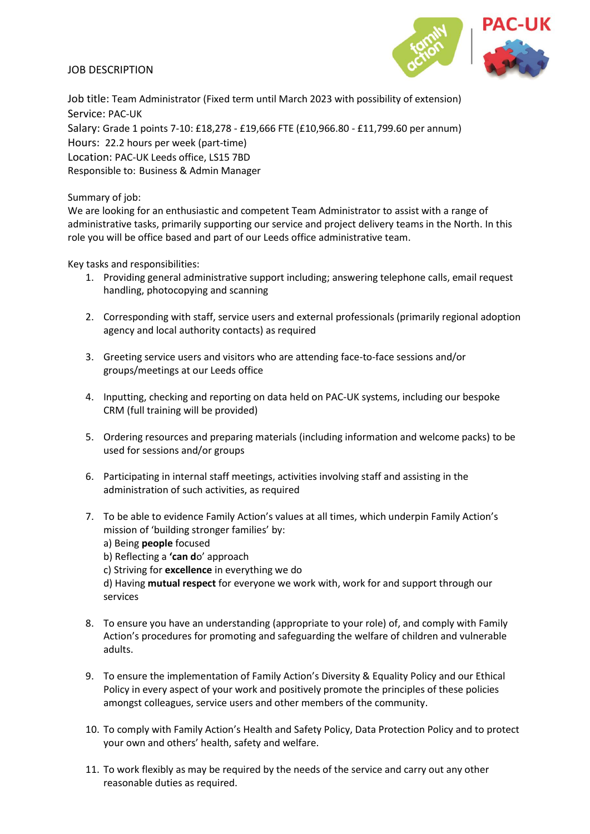## JOB DESCRIPTION



Job title: Team Administrator (Fixed term until March 2023 with possibility of extension) Service: PAC-UK Salary: Grade 1 points 7-10: £18,278 - £19,666 FTE (£10,966.80 - £11,799.60 per annum) Hours: 22.2 hours per week (part-time) Location: PAC-UK Leeds office, LS15 7BD Responsible to: Business & Admin Manager

Summary of job:

We are looking for an enthusiastic and competent Team Administrator to assist with a range of administrative tasks, primarily supporting our service and project delivery teams in the North. In this role you will be office based and part of our Leeds office administrative team.

Key tasks and responsibilities:

- 1. Providing general administrative support including; answering telephone calls, email request handling, photocopying and scanning
- 2. Corresponding with staff, service users and external professionals (primarily regional adoption agency and local authority contacts) as required
- 3. Greeting service users and visitors who are attending face-to-face sessions and/or groups/meetings at our Leeds office
- 4. Inputting, checking and reporting on data held on PAC-UK systems, including our bespoke CRM (full training will be provided)
- 5. Ordering resources and preparing materials (including information and welcome packs) to be used for sessions and/or groups
- 6. Participating in internal staff meetings, activities involving staff and assisting in the administration of such activities, as required
- 7. To be able to evidence Family Action's values at all times, which underpin Family Action's mission of 'building stronger families' by:
	- a) Being **people** focused
	- b) Reflecting a **'can d**o' approach
	- c) Striving for **excellence** in everything we do

d) Having **mutual respect** for everyone we work with, work for and support through our services

- 8. To ensure you have an understanding (appropriate to your role) of, and comply with Family Action's procedures for promoting and safeguarding the welfare of children and vulnerable adults.
- 9. To ensure the implementation of Family Action's Diversity & Equality Policy and our Ethical Policy in every aspect of your work and positively promote the principles of these policies amongst colleagues, service users and other members of the community.
- 10. To comply with Family Action's Health and Safety Policy, Data Protection Policy and to protect your own and others' health, safety and welfare.
- 11. To work flexibly as may be required by the needs of the service and carry out any other reasonable duties as required.